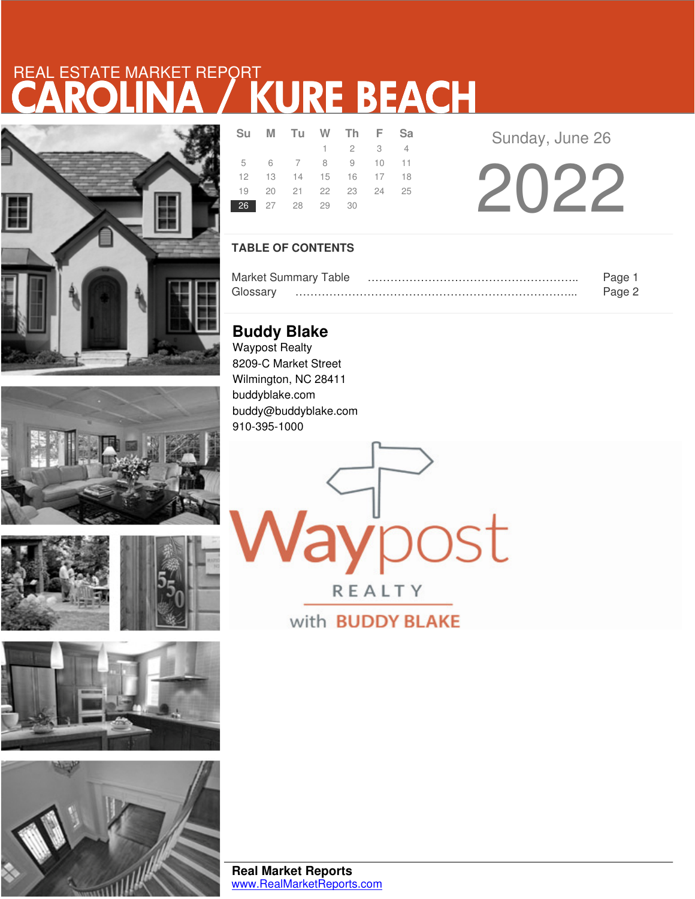# REAL ESTATE MARKET REPORT









| <b>Su</b> | M Tu W Th F Sa             |                             |  |  |
|-----------|----------------------------|-----------------------------|--|--|
|           |                            | $1 \quad 2 \quad 3 \quad 4$ |  |  |
|           | 5 6 7 8 9 10 11            |                             |  |  |
|           | 12  13  14  15  16  17  18 |                             |  |  |
|           | 19 20 21 22 23 24 25       |                             |  |  |
|           | 26 27 28 29 30             |                             |  |  |

Sunday, June 26

2022

## **TABLE OF CONTENTS**

|          | <b>Market Summary Table</b> | Page   |
|----------|-----------------------------|--------|
| Glossarv |                             | Page 2 |

**laypost** 

REALTY

with **BUDDY BLAKE** 

**Buddy Blake** Waypost Realty 8209-C Market Street Wilmington, NC 28411 buddyblake.com buddy@buddyblake.com 910-395-1000

**Real Market Reports** www.RealMarketReports.com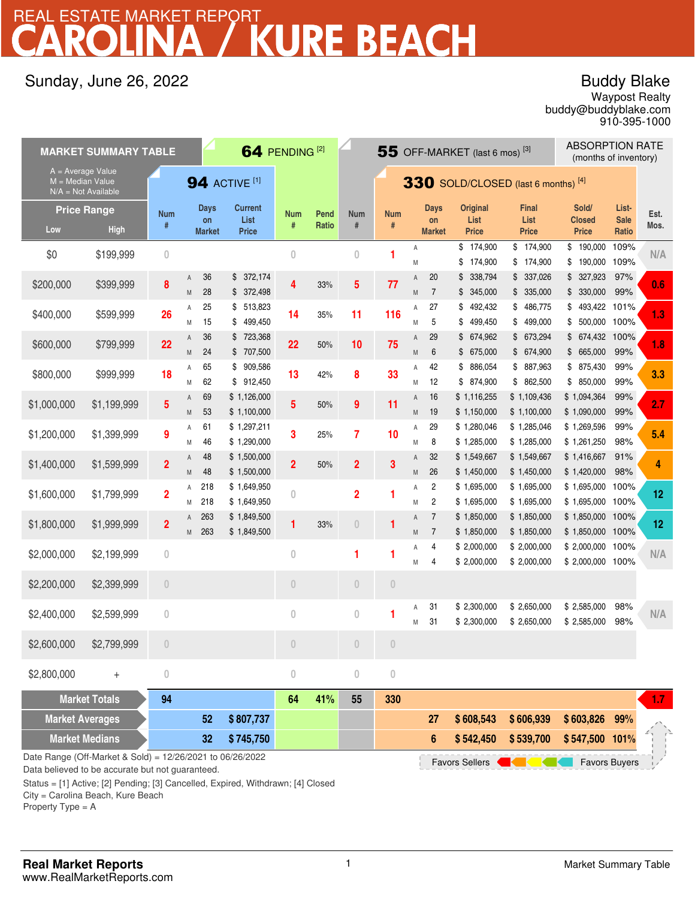# REAL ESTATE MARKET REPORT<br>CAROLINA / KURE BEACH

# Sunday, June 26, 2022

# Buddy Blake

buddy@buddyblake.com Waypost Realty 910-395-1000

|                                                                    | <b>MARKET SUMMARY TABLE</b>       |                                 |                                    | 64 PENDING <sup>[2]</sup>              |                 |                      |                                 | 55 OFF-MARKET (last 6 mos) <sup>[3]</sup> |                  |                                    |                                         | <b>ABSORPTION RATE</b><br>(months of inventory) |                                 |                               |              |
|--------------------------------------------------------------------|-----------------------------------|---------------------------------|------------------------------------|----------------------------------------|-----------------|----------------------|---------------------------------|-------------------------------------------|------------------|------------------------------------|-----------------------------------------|-------------------------------------------------|---------------------------------|-------------------------------|--------------|
| $A = Average Value$<br>$M = Median Value$<br>$N/A = Not Available$ |                                   |                                 |                                    | <b>94 ACTIVE [1]</b>                   |                 |                      |                                 | $330$ SOLD/CLOSED (last 6 months) [4]     |                  |                                    |                                         |                                                 |                                 |                               |              |
| Low                                                                | <b>Price Range</b><br><b>High</b> | <b>Num</b><br>#                 | <b>Days</b><br>on<br><b>Market</b> | <b>Current</b><br>List<br><b>Price</b> | <b>Num</b><br># | Pend<br><b>Ratio</b> | <b>Num</b><br>#                 | <b>Num</b><br>$\#$                        |                  | <b>Days</b><br>on<br><b>Market</b> | <b>Original</b><br>List<br><b>Price</b> | <b>Final</b><br>List<br><b>Price</b>            | Sold/<br>Closed<br><b>Price</b> | List-<br><b>Sale</b><br>Ratio | Est.<br>Mos. |
| \$0                                                                | \$199,999                         | $\overline{0}$                  |                                    |                                        | $\theta$        |                      | $\theta$                        | 1                                         | A<br>${\sf M}$   |                                    | \$174,900<br>\$<br>174,900              | \$174,900<br>\$174,900                          | \$190,000<br>\$190,000          | 109%<br>109%                  | N/A          |
| \$200,000                                                          | \$399,999                         | 8                               | 36<br>A<br>28<br>M                 | \$372,174<br>\$372,498                 | 4               | 33%                  | 5                               | 77                                        | Α<br>M           | 20<br>$\overline{7}$               | \$338,794<br>\$345,000                  | \$337,026<br>\$335,000                          | \$327,923<br>\$330,000          | 97%<br>99%                    | 0.6          |
| \$400,000                                                          | \$599,999                         | 26                              | 25<br>Α<br>15<br>M                 | \$513,823<br>499,450<br>\$             | 14              | 35%                  | 11                              | 116                                       | Α<br>M           | 27<br>5                            | \$<br>492,432<br>499,450<br>\$          | \$486,775<br>\$499,000                          | \$493,422 101%<br>500,000<br>\$ | 100%                          | 1.3          |
| \$600,000                                                          | \$799,999                         | 22                              | 36<br>A<br>24<br>M                 | \$723,368<br>\$ 707,500                | 22              | 50%                  | 10                              | 75                                        | A<br>M           | 29<br>$6\phantom{1}6$              | \$674,962<br>\$675,000                  | \$673,294<br>\$674,900                          | 674,432<br>\$<br>\$665,000      | 100%<br>99%                   | 1.8          |
| \$800,000                                                          | \$999,999                         | 18                              | 65<br>Α<br>62<br>M                 | 909,586<br>\$<br>912,450<br>\$         | 13              | 42%                  | 8                               | 33                                        | Α<br>M           | 42<br>12                           | 886,054<br>\$<br>\$ 874,900             | \$ 887,963<br>\$862,500                         | \$ 875,430<br>\$850,000         | 99%<br>99%                    | 3.3          |
| \$1,000,000                                                        | \$1,199,999                       | 5                               | 69<br>A<br>53<br>M                 | \$1,126,000<br>\$1,100,000             | 5               | 50%                  | 9                               | 11                                        | $\mathsf A$<br>M | 16<br>19                           | \$1,116,255<br>\$1,150,000              | \$1,109,436<br>\$1,100,000                      | \$1,094,364<br>\$1,090,000      | 99%<br>99%                    | 2.7          |
| \$1,200,000                                                        | \$1,399,999                       | 9                               | 61<br>Α<br>46<br>M                 | \$1,297,211<br>\$1,290,000             | 3               | 25%                  | 7                               | 10                                        | A<br>M           | 29<br>8                            | \$1,280,046<br>\$1,285,000              | \$1,285,046<br>\$1,285,000                      | \$1,269,596<br>\$1,261,250      | 99%<br>98%                    | 5.4          |
| \$1,400,000                                                        | \$1,599,999                       | $\overline{2}$                  | 48<br>A<br>48<br>M                 | \$1,500,000<br>\$1,500,000             | $\overline{2}$  | 50%                  | $\overline{2}$                  | 3                                         | A<br>M           | 32<br>26                           | \$1,549,667<br>\$1,450,000              | \$1,549,667<br>\$1,450,000                      | \$1,416,667<br>\$1,420,000      | 91%<br>98%                    | 4            |
| \$1,600,000                                                        | \$1,799,999                       | $\overline{2}$                  | 218<br>Α<br>218<br>M               | \$1,649,950<br>\$1,649,950             | $\bf{0}$        |                      | $\overline{2}$                  | 1                                         | Α<br>M           | 2<br>2                             | \$1,695,000<br>\$1,695,000              | \$1,695,000<br>\$1,695,000                      | \$1,695,000<br>\$1,695,000      | 100%<br>100%                  | 12           |
| \$1,800,000                                                        | \$1,999,999                       | $\overline{2}$                  | 263<br>Α<br>263<br>M               | \$1,849,500<br>\$1,849,500             | 1               | 33%                  | $\begin{matrix} 0 \end{matrix}$ | 1                                         | A<br>M           | $\overline{7}$<br>$\overline{7}$   | \$1,850,000<br>\$1,850,000              | \$1,850,000<br>\$1,850,000                      | \$1,850,000<br>\$1,850,000 100% | 100%                          | 12           |
| \$2,000,000                                                        | \$2,199,999                       | $\bf 0$                         |                                    |                                        | $\bf 0$         |                      | 1                               | 1                                         | Α<br>M           | 4<br>$\overline{4}$                | \$2,000,000<br>\$2,000,000              | \$2,000,000<br>\$2,000,000                      | \$2,000,000<br>\$2,000,000 100% | 100%                          | N/A          |
| \$2,200,000                                                        | \$2,399,999                       | $\begin{matrix} 0 \end{matrix}$ |                                    |                                        | $\overline{0}$  |                      | $\theta$                        | $\overline{0}$                            |                  |                                    |                                         |                                                 |                                 |                               |              |
| \$2,400,000                                                        | \$2,599,999                       | $\overline{0}$                  |                                    |                                        | $\theta$        |                      | $\mathbf{0}$                    | 1                                         | А<br>M           | 31<br>31                           | \$2,300,000<br>\$2,300,000              | \$2,650,000<br>\$2,650,000                      | \$2,585,000<br>\$2,585,000      | 98%<br>98%                    | N/A          |
| \$2,600,000                                                        | \$2,799,999                       | $\theta$                        |                                    |                                        | $\theta$        |                      | $\theta$                        | $\begin{matrix} 0 \\ 0 \end{matrix}$      |                  |                                    |                                         |                                                 |                                 |                               |              |
| \$2,800,000                                                        | $^{+}$                            | $\bf 0$                         |                                    |                                        | $\overline{0}$  |                      | $\mathbf{0}$                    | $\bf 0$                                   |                  |                                    |                                         |                                                 |                                 |                               |              |
|                                                                    | <b>Market Totals</b>              | 94                              |                                    |                                        | 64              | 41%                  | 55                              | 330                                       |                  |                                    |                                         |                                                 |                                 |                               | $1.7 -$      |
| <b>Market Averages</b>                                             |                                   |                                 | 52                                 | \$807,737                              |                 |                      |                                 |                                           |                  | 27                                 | \$608,543                               | \$606,939                                       | \$603,826                       | 99%                           |              |

Date Range (Off-Market & Sold) = 12/26/2021 to 06/26/2022

Data believed to be accurate but not guaranteed.

Status = [1] Active; [2] Pending; [3] Cancelled, Expired, Withdrawn; [4] Closed

**32**

City = Carolina Beach, Kure Beach

**Market Medians** 

Property Type = A

**\$ 539,700**

Favors Sellers **Contains and Sellers** Favors Buyers

**\$ 547,500 \$ 745,750 101%**

**6 542,450 \$**